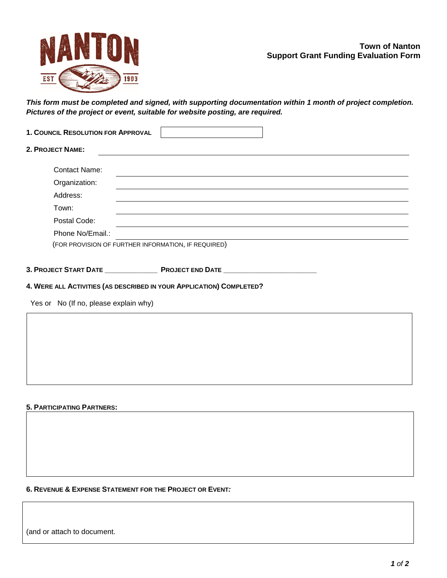# **Town of Nanton Support Grant Funding Evaluation Form**



*This form must be completed and signed, with supporting documentation within 1 month of project completion. Pictures of the project or event, suitable for website posting, are required.*

| 1. COUNCIL RESOLUTION FOR APPROVAL |                                                     |  |
|------------------------------------|-----------------------------------------------------|--|
| 2. PROJECT NAME:                   |                                                     |  |
| <b>Contact Name:</b>               |                                                     |  |
| Organization:                      |                                                     |  |
| Address:                           |                                                     |  |
| Town:                              |                                                     |  |
| Postal Code:                       |                                                     |  |
| Phone No/Email.:                   |                                                     |  |
|                                    | (FOR PROVISION OF FURTHER INFORMATION, IF REQUIRED) |  |
|                                    |                                                     |  |
| <b>3. PROJECT START DATE</b>       | <b>PROJECT END DATE</b>                             |  |

## **4. WERE ALL ACTIVITIES (AS DESCRIBED IN YOUR APPLICATION) COMPLETED?**

Yes or No (If no, please explain why)

### **5. PARTICIPATING PARTNERS:**

### **6. REVENUE & EXPENSE STATEMENT FOR THE PROJECT OR EVENT***:*

(and or attach to document.